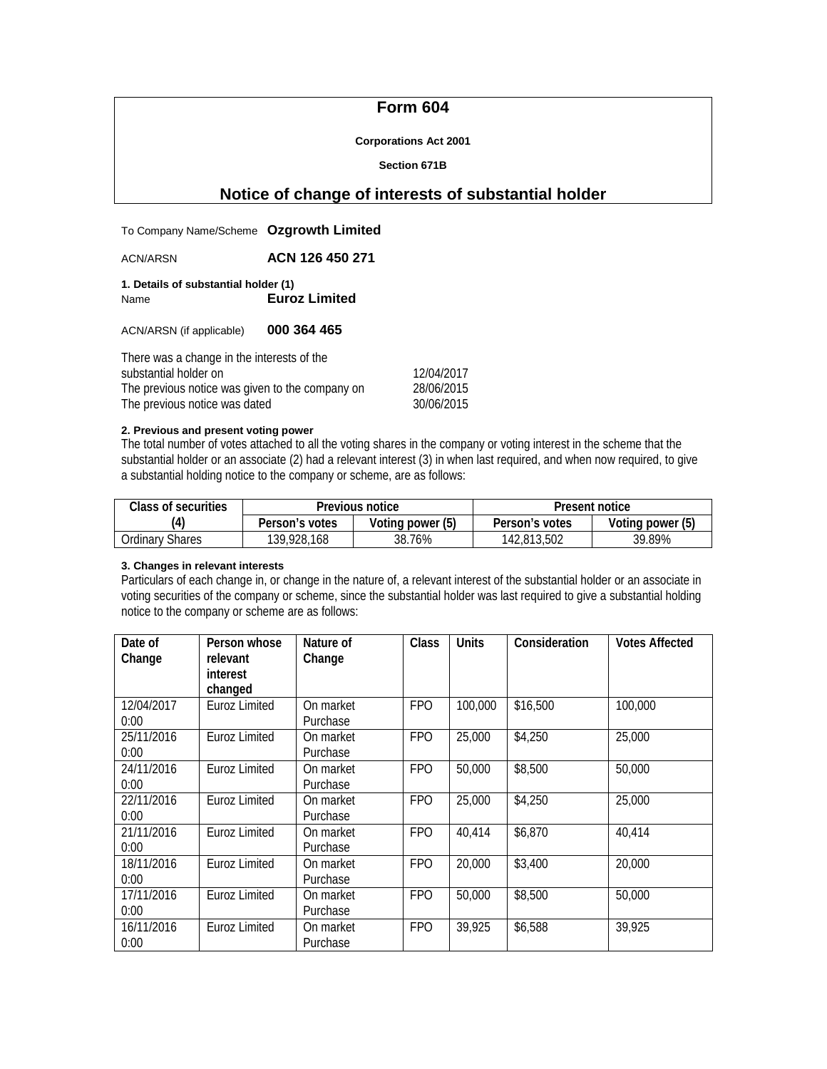# **Form 604**

#### **Corporations Act 2001**

#### **Section 671B**

# **Notice of change of interests of substantial holder**

| To Company Name/Scheme Ozgrowth Limited                                                                                  |                      |                            |
|--------------------------------------------------------------------------------------------------------------------------|----------------------|----------------------------|
| <b>ACN/ARSN</b>                                                                                                          | ACN 126 450 271      |                            |
| 1. Details of substantial holder (1)<br>Name                                                                             | <b>Euroz Limited</b> |                            |
| ACN/ARSN (if applicable)                                                                                                 | 000 364 465          |                            |
| There was a change in the interests of the<br>substantial holder on<br>The provision potter were attended the company on |                      | 12/04/2017<br>$20/0/1201F$ |

| oupolumuu noidu on                              | 120 J J L U I L |
|-------------------------------------------------|-----------------|
| The previous notice was given to the company on | 28/06/2015      |
| The previous notice was dated                   | 30/06/2015      |
|                                                 |                 |

## **2. Previous and present voting power**

The total number of votes attached to all the voting shares in the company or voting interest in the scheme that the substantial holder or an associate (2) had a relevant interest (3) in when last required, and when now required, to give a substantial holding notice to the company or scheme, are as follows:

| <b>Class of securities</b> |                | Previous notice  | Present notice |                  |  |
|----------------------------|----------------|------------------|----------------|------------------|--|
|                            | Person's votes | Voting power (5) | Person's votes | Voting power (5) |  |
| Ordinary Shares            | 139,928,168    | 38.76%           | 142,813,502    | 39.89%           |  |

## **3. Changes in relevant interests**

Particulars of each change in, or change in the nature of, a relevant interest of the substantial holder or an associate in voting securities of the company or scheme, since the substantial holder was last required to give a substantial holding notice to the company or scheme are as follows:

| Date of    | Person whose  | Nature of | Class      | <b>Units</b> | Consideration | <b>Votes Affected</b> |
|------------|---------------|-----------|------------|--------------|---------------|-----------------------|
| Change     | relevant      | Change    |            |              |               |                       |
|            | interest      |           |            |              |               |                       |
|            | changed       |           |            |              |               |                       |
| 12/04/2017 | Euroz Limited | On market | <b>FPO</b> | 100,000      | \$16,500      | 100,000               |
| 0:00       |               | Purchase  |            |              |               |                       |
| 25/11/2016 | Euroz Limited | On market | <b>FPO</b> | 25,000       | \$4,250       | 25,000                |
| 0:00       |               | Purchase  |            |              |               |                       |
| 24/11/2016 | Euroz Limited | On market | <b>FPO</b> | 50,000       | \$8,500       | 50,000                |
| 0:00       |               | Purchase  |            |              |               |                       |
| 22/11/2016 | Euroz Limited | On market | <b>FPO</b> | 25,000       | \$4,250       | 25,000                |
| 0:00       |               | Purchase  |            |              |               |                       |
| 21/11/2016 | Euroz Limited | On market | <b>FPO</b> | 40,414       | \$6,870       | 40,414                |
| 0:00       |               | Purchase  |            |              |               |                       |
| 18/11/2016 | Euroz Limited | On market | <b>FPO</b> | 20,000       | \$3,400       | 20,000                |
| 0:00       |               | Purchase  |            |              |               |                       |
| 17/11/2016 | Euroz Limited | On market | <b>FPO</b> | 50,000       | \$8,500       | 50,000                |
| 0:00       |               | Purchase  |            |              |               |                       |
| 16/11/2016 | Euroz Limited | On market | <b>FPO</b> | 39,925       | \$6,588       | 39,925                |
| 0:00       |               | Purchase  |            |              |               |                       |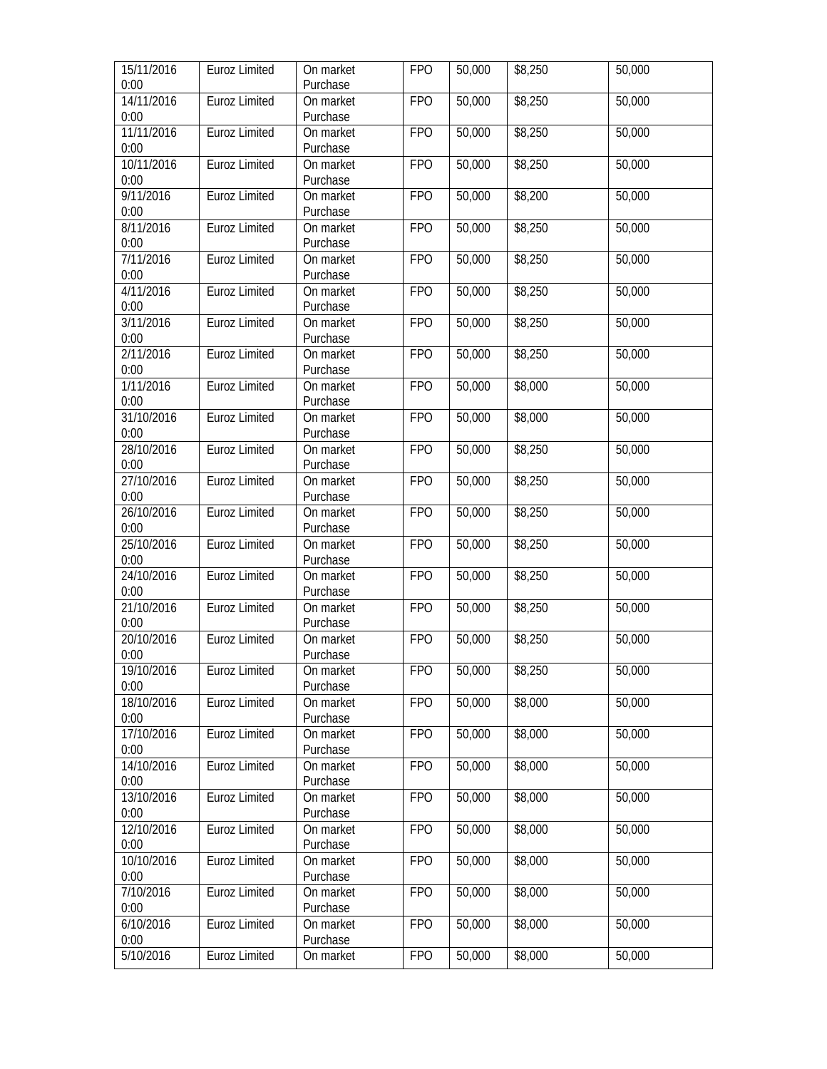| 15/11/2016<br>0:00 | Euroz Limited        | On market<br>Purchase | <b>FPO</b> | 50,000 | \$8,250 | 50,000 |
|--------------------|----------------------|-----------------------|------------|--------|---------|--------|
| 14/11/2016         | <b>Euroz Limited</b> | On market             | <b>FPO</b> | 50,000 | \$8,250 | 50,000 |
| 0:00               |                      | Purchase              |            |        |         |        |
| 11/11/2016         | Euroz Limited        | On market             | <b>FPO</b> | 50,000 | \$8,250 | 50,000 |
| 0:00               |                      | Purchase              |            |        |         |        |
| 10/11/2016         | <b>Euroz Limited</b> | On market             | <b>FPO</b> | 50,000 | \$8,250 | 50,000 |
| 0:00               |                      | Purchase              |            |        |         |        |
| 9/11/2016          | <b>Euroz Limited</b> | On market             | <b>FPO</b> | 50,000 | \$8,200 | 50,000 |
| 0:00               |                      | Purchase              |            |        |         |        |
| 8/11/2016          | Euroz Limited        | On market             | <b>FPO</b> | 50,000 | \$8,250 | 50,000 |
| 0:00               |                      | Purchase              |            |        |         |        |
| 7/11/2016          | Euroz Limited        | On market             | <b>FPO</b> | 50,000 | \$8,250 | 50,000 |
| 0:00               |                      | Purchase              |            |        |         |        |
| 4/11/2016          | Euroz Limited        | On market             | <b>FPO</b> | 50,000 | \$8,250 | 50,000 |
| 0:00               |                      | Purchase              |            |        |         |        |
| 3/11/2016          | Euroz Limited        | On market             | <b>FPO</b> | 50,000 | \$8,250 | 50,000 |
| 0:00               |                      | Purchase              |            |        |         |        |
| 2/11/2016          | <b>Euroz Limited</b> | On market             | <b>FPO</b> | 50,000 | \$8,250 | 50,000 |
| 0:00               |                      | Purchase              |            |        |         |        |
| 1/11/2016          | <b>Euroz Limited</b> | On market             | <b>FPO</b> | 50,000 | \$8,000 | 50,000 |
| 0:00               |                      | Purchase              |            |        |         |        |
| 31/10/2016         | Euroz Limited        | On market             | <b>FPO</b> | 50,000 | \$8,000 | 50,000 |
| 0:00               |                      | Purchase              |            |        |         |        |
| 28/10/2016         | <b>Euroz Limited</b> | On market             | <b>FPO</b> | 50,000 | \$8,250 | 50,000 |
| 0:00               |                      | Purchase              |            |        |         |        |
| 27/10/2016         | Euroz Limited        | On market             | <b>FPO</b> | 50,000 | \$8,250 | 50,000 |
| 0:00               |                      | Purchase              |            |        |         |        |
| 26/10/2016         | Euroz Limited        | On market             | <b>FPO</b> | 50,000 | \$8,250 | 50,000 |
| 0:00               |                      | Purchase              |            |        |         |        |
| 25/10/2016         | Euroz Limited        | On market             | <b>FPO</b> | 50,000 | \$8,250 | 50,000 |
| 0:00               |                      | Purchase              |            |        |         |        |
| 24/10/2016         | Euroz Limited        | On market             | <b>FPO</b> | 50,000 | \$8,250 | 50,000 |
| 0:00               |                      | Purchase              |            |        |         |        |
| 21/10/2016<br>0:00 | Euroz Limited        | On market<br>Purchase | <b>FPO</b> | 50,000 | \$8,250 | 50,000 |
| 20/10/2016         | Euroz Limited        | On market             | <b>FPO</b> | 50,000 | \$8,250 | 50,000 |
| 0:00               |                      | Purchase              |            |        |         |        |
| 19/10/2016         | Euroz Limited        | On market             | <b>FPO</b> | 50,000 | \$8,250 | 50,000 |
| 0:00               |                      | Purchase              |            |        |         |        |
| 18/10/2016         | Euroz Limited        | On market             | <b>FPO</b> | 50,000 | \$8,000 | 50,000 |
| 0:00               |                      | Purchase              |            |        |         |        |
| 17/10/2016         | <b>Euroz Limited</b> | On market             | <b>FPO</b> | 50,000 | \$8,000 | 50,000 |
| 0:00               |                      | Purchase              |            |        |         |        |
| 14/10/2016         | <b>Euroz Limited</b> | On market             | <b>FPO</b> | 50,000 | \$8,000 | 50,000 |
| 0:00               |                      | Purchase              |            |        |         |        |
| 13/10/2016         | <b>Euroz Limited</b> | On market             | <b>FPO</b> | 50,000 | \$8,000 | 50,000 |
| 0:00               |                      | Purchase              |            |        |         |        |
| 12/10/2016         | Euroz Limited        | On market             | <b>FPO</b> | 50,000 | \$8,000 | 50,000 |
| 0:00               |                      | Purchase              |            |        |         |        |
| 10/10/2016         | Euroz Limited        | On market             | <b>FPO</b> | 50,000 | \$8,000 | 50,000 |
| 0:00               |                      | Purchase              |            |        |         |        |
| 7/10/2016          | Euroz Limited        | On market             | <b>FPO</b> | 50,000 | \$8,000 | 50,000 |
| 0:00               |                      | Purchase              |            |        |         |        |
| 6/10/2016          | Euroz Limited        | On market             | <b>FPO</b> | 50,000 | \$8,000 | 50,000 |
| 0:00               |                      | Purchase              |            |        |         |        |
| 5/10/2016          | Euroz Limited        | On market             | <b>FPO</b> | 50,000 | \$8,000 | 50,000 |
|                    |                      |                       |            |        |         |        |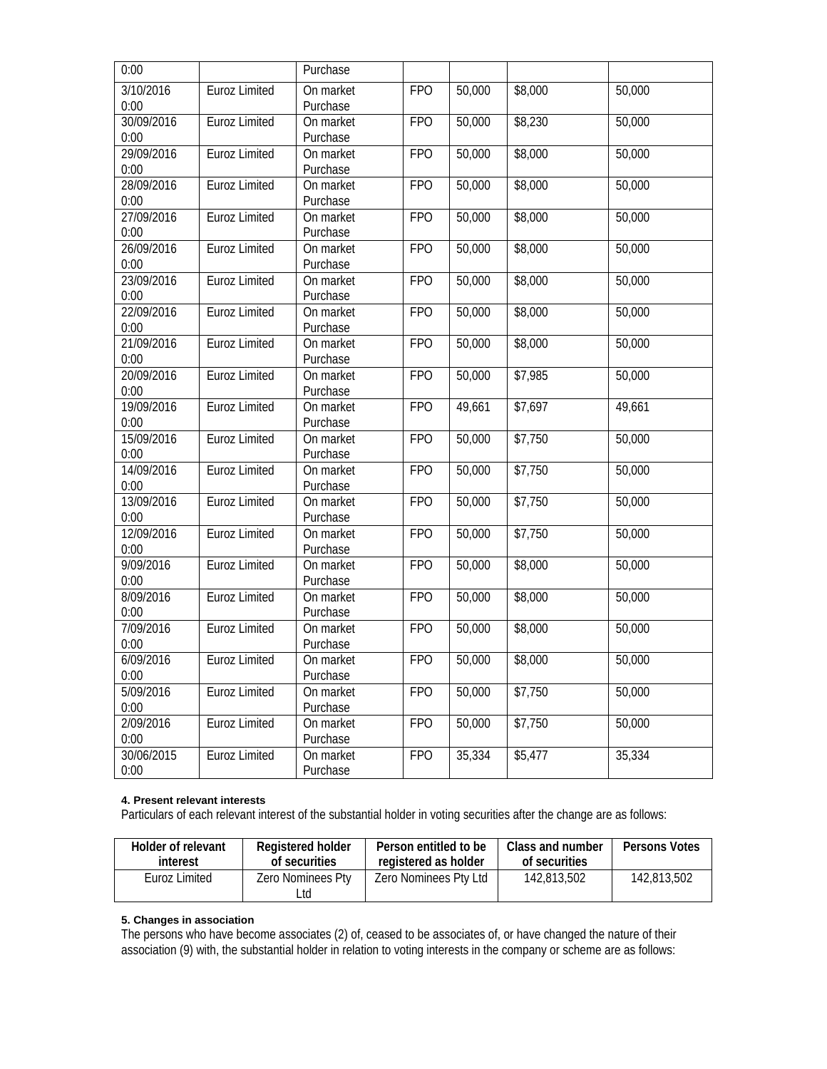| 0:00                           |                      | Purchase              |            |        |                     |        |
|--------------------------------|----------------------|-----------------------|------------|--------|---------------------|--------|
| $\overline{3/10/2016}$<br>0:00 | <b>Euroz Limited</b> | On market<br>Purchase | <b>FPO</b> | 50,000 | \$8,000             | 50,000 |
| 30/09/2016<br>0:00             | Euroz Limited        | On market<br>Purchase | <b>FPO</b> | 50,000 | \$8,230             | 50,000 |
| 29/09/2016<br>0:00             | Euroz Limited        | On market<br>Purchase | <b>FPO</b> | 50,000 | \$8,000             | 50,000 |
| 28/09/2016<br>0:00             | Euroz Limited        | On market<br>Purchase | <b>FPO</b> | 50,000 | \$8,000             | 50,000 |
| 27/09/2016<br>0:00             | Euroz Limited        | On market<br>Purchase | <b>FPO</b> | 50,000 | \$8,000             | 50,000 |
| 26/09/2016<br>0:00             | <b>Euroz Limited</b> | On market<br>Purchase | <b>FPO</b> | 50,000 | \$8,000             | 50,000 |
| 23/09/2016<br>0:00             | Euroz Limited        | On market<br>Purchase | <b>FPO</b> | 50,000 | \$8,000             | 50,000 |
| 22/09/2016<br>0:00             | Euroz Limited        | On market<br>Purchase | <b>FPO</b> | 50,000 | \$8,000             | 50,000 |
| 21/09/2016<br>0:00             | <b>Euroz Limited</b> | On market<br>Purchase | <b>FPO</b> | 50,000 | \$8,000             | 50,000 |
| 20/09/2016<br>0:00             | Euroz Limited        | On market<br>Purchase | <b>FPO</b> | 50,000 | \$7,985             | 50,000 |
| 19/09/2016<br>0:00             | Euroz Limited        | On market<br>Purchase | <b>FPO</b> | 49,661 | \$7,697             | 49,661 |
| 15/09/2016<br>0:00             | Euroz Limited        | On market<br>Purchase | <b>FPO</b> | 50,000 | \$7,750             | 50,000 |
| 14/09/2016<br>0:00             | Euroz Limited        | On market<br>Purchase | <b>FPO</b> | 50,000 | $\sqrt{$7,750}$     | 50,000 |
| 13/09/2016<br>0:00             | Euroz Limited        | On market<br>Purchase | <b>FPO</b> | 50,000 | \$7,750             | 50,000 |
| 12/09/2016<br>0:00             | Euroz Limited        | On market<br>Purchase | <b>FPO</b> | 50,000 | \$7,750             | 50,000 |
| $\frac{9}{09/2016}$<br>0:00    | Euroz Limited        | On market<br>Purchase | <b>FPO</b> | 50,000 | $\overline{$8,000}$ | 50,000 |
| 8/09/2016<br>0:00              | <b>Euroz Limited</b> | On market<br>Purchase | <b>FPO</b> | 50,000 | \$8,000             | 50,000 |
| 7/09/2016<br>0:00              | Euroz Limited        | On market<br>Purchase | <b>FPO</b> | 50,000 | \$8,000             | 50,000 |
| 6/09/2016<br>0:00              | Euroz Limited        | On market<br>Purchase | <b>FPO</b> | 50,000 | \$8,000             | 50,000 |
| 5/09/2016<br>0:00              | Euroz Limited        | On market<br>Purchase | <b>FPO</b> | 50,000 | \$7,750             | 50,000 |
| 2/09/2016<br>0:00              | <b>Euroz Limited</b> | On market<br>Purchase | <b>FPO</b> | 50,000 | \$7,750             | 50,000 |
| 30/06/2015<br>0:00             | <b>Euroz Limited</b> | On market<br>Purchase | <b>FPO</b> | 35,334 | \$5,477             | 35,334 |

## **4. Present relevant interests**

Particulars of each relevant interest of the substantial holder in voting securities after the change are as follows:

| Holder of relevant | <b>Registered holder</b> | Person entitled to be | Class and number | Persons Votes |
|--------------------|--------------------------|-----------------------|------------------|---------------|
| interest           | of securities            | registered as holder  | of securities    |               |
| Euroz Limited      | Zero Nominees Pty<br>_td | Zero Nominees Pty Ltd | 142,813,502      | 142.813.502   |

# **5. Changes in association**

The persons who have become associates (2) of, ceased to be associates of, or have changed the nature of their association (9) with, the substantial holder in relation to voting interests in the company or scheme are as follows: